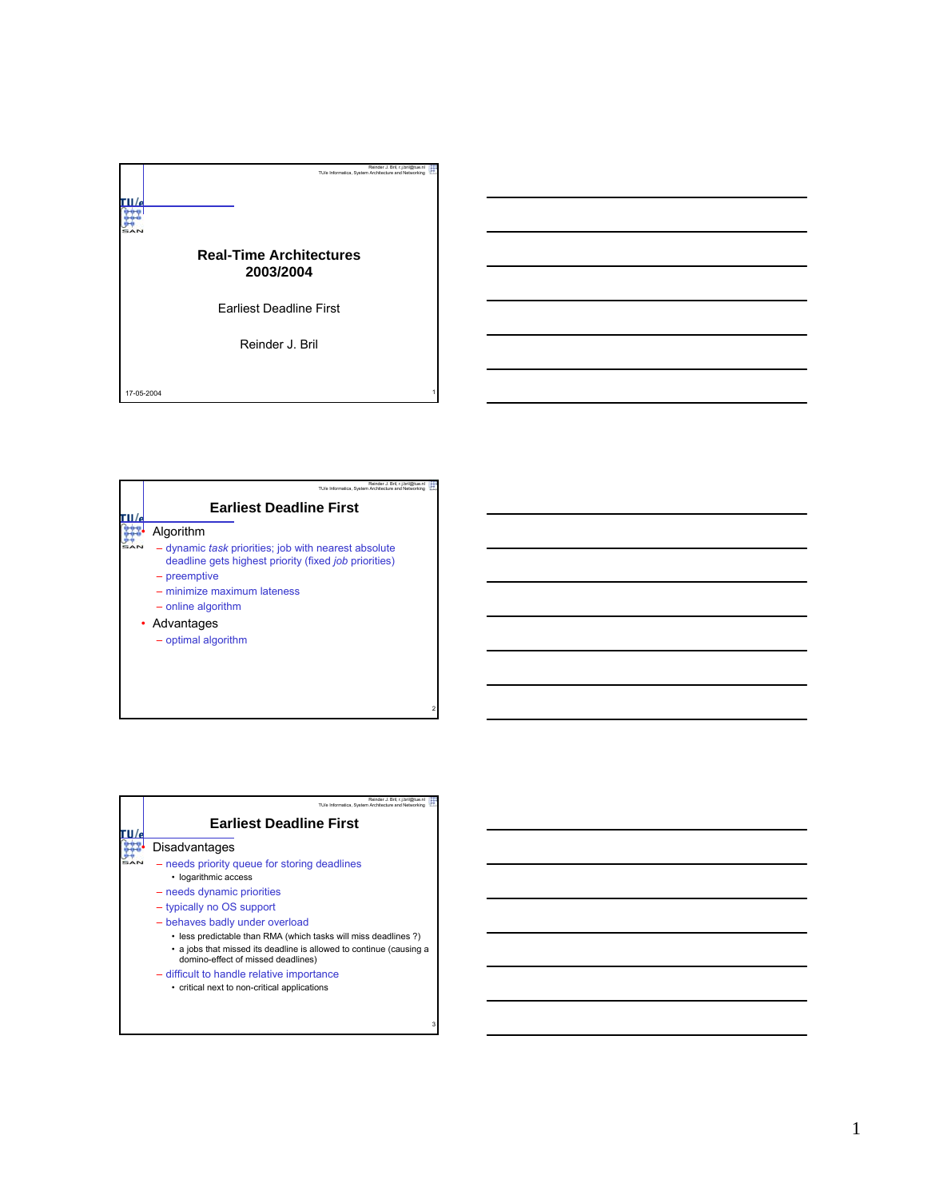

| Reinder J. Bril. r.i.bril@tue.nl<br>TU/e Informatica, System Architecture and Networking                                             |
|--------------------------------------------------------------------------------------------------------------------------------------|
| <b>Earliest Deadline First</b>                                                                                                       |
| Algorithm                                                                                                                            |
| - dynamic <i>task</i> priorities; job with nearest absolute<br>deadline gets highest priority (fixed job priorities)<br>- preemptive |
| - minimize maximum lateness                                                                                                          |
| - online algorithm                                                                                                                   |
| • Advantages                                                                                                                         |
| - optimal algorithm                                                                                                                  |
|                                                                                                                                      |
|                                                                                                                                      |

2

3

| Reinder J. Bril. r.i.bril@tue.nl<br>TU/e Informatica. System Architecture and Networking                                                                                    |
|-----------------------------------------------------------------------------------------------------------------------------------------------------------------------------|
| <b>Earliest Deadline First</b>                                                                                                                                              |
| Disadvantages                                                                                                                                                               |
| - needs priority queue for storing deadlines<br>• logarithmic access                                                                                                        |
| - needs dynamic priorities                                                                                                                                                  |
| - typically no OS support                                                                                                                                                   |
| - behaves badly under overload                                                                                                                                              |
| • less predictable than RMA (which tasks will miss deadlines?)<br>• a jobs that missed its deadline is allowed to continue (causing a<br>domino-effect of missed deadlines) |
| - difficult to handle relative importance                                                                                                                                   |
| • critical next to non-critical applications                                                                                                                                |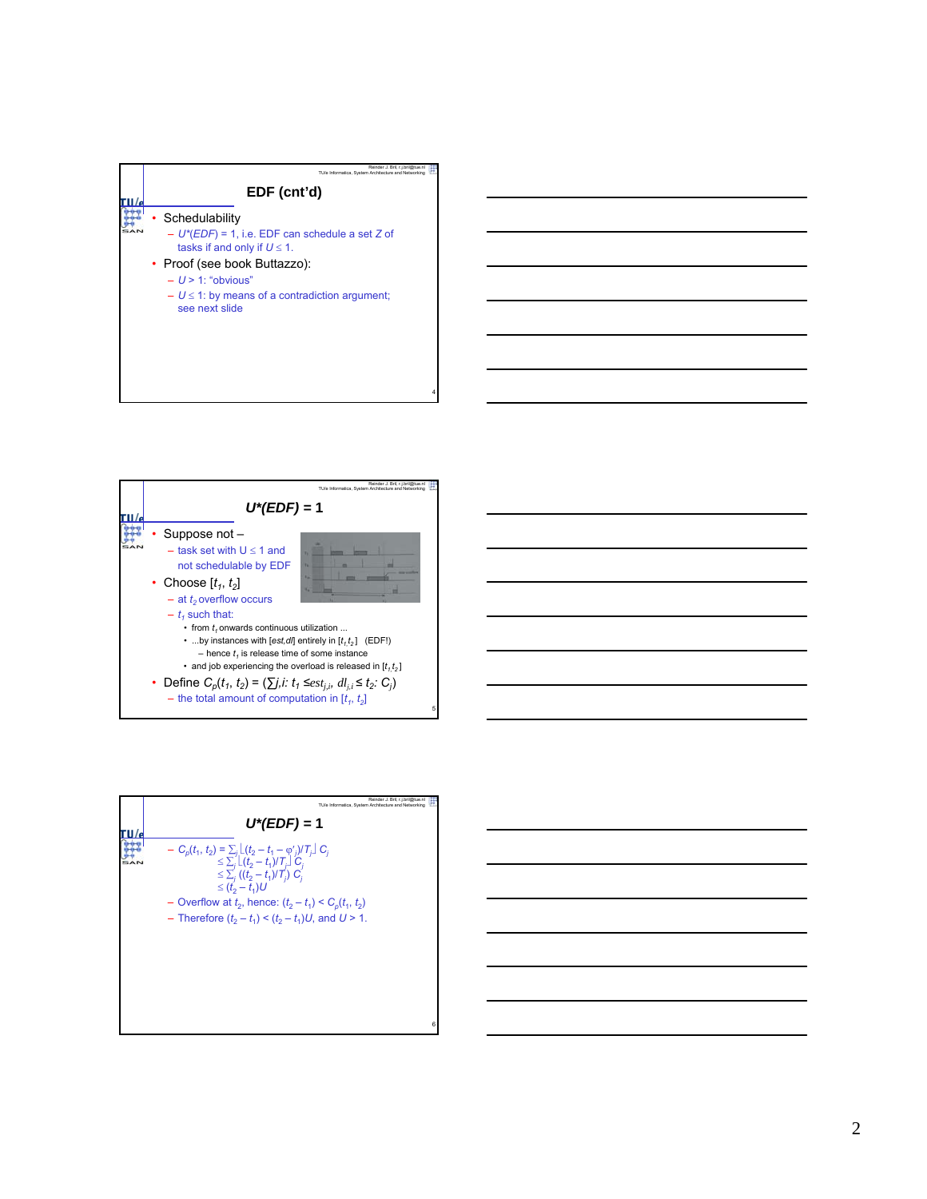